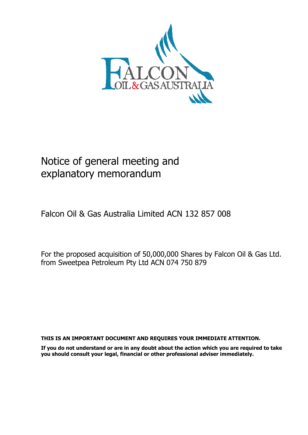

# Notice of general meeting and explanatory memorandum

Falcon Oil & Gas Australia Limited ACN 132 857 008

For the proposed acquisition of 50,000,000 Shares by Falcon Oil & Gas Ltd. from Sweetpea Petroleum Pty Ltd ACN 074 750 879

**THIS IS AN IMPORTANT DOCUMENT AND REQUIRES YOUR IMMEDIATE ATTENTION.** 

**If you do not understand or are in any doubt about the action which you are required to take you should consult your legal, financial or other professional adviser immediately.**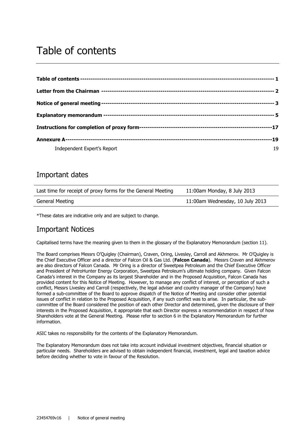# Table of contents

| Independent Expert's Report | 19 |
|-----------------------------|----|

# Important dates

| Last time for receipt of proxy forms for the General Meeting | 11:00am Monday, 8 July 2013     |
|--------------------------------------------------------------|---------------------------------|
| General Meeting                                              | 11:00am Wednesday, 10 July 2013 |

\*These dates are indicative only and are subject to change.

# Important Notices

Capitalised terms have the meaning given to them in the glossary of the Explanatory Memorandum (section 11).

The Board comprises Messrs O'Quigley (Chairman), Craven, Oring, Livesley, Carroll and Akhmerov. Mr O'Quigley is the Chief Executive Officer and a director of Falcon Oil & Gas Ltd. (**Falcon Canada**). Messrs Craven and Akhmerov are also directors of Falcon Canada. Mr Oring is a director of Sweetpea Petroleum and the Chief Executive Officer and President of PetroHunter Energy Corporation, Sweetpea Petroleum's ultimate holding company. Given Falcon Canada's interest in the Company as its largest Shareholder and in the Proposed Acquisition, Falcon Canada has provided content for this Notice of Meeting. However, to manage any conflict of interest, or perception of such a conflict, Messrs Livesley and Carroll (respectively, the legal adviser and country manager of the Company) have formed a sub-committee of the Board to approve dispatch of the Notice of Meeting and consider other potential issues of conflict in relation to the Proposed Acquisition, if any such conflict was to arise. In particular, the subcommittee of the Board considered the position of each other Director and determined, given the disclosure of their interests in the Proposed Acquisition, it appropriate that each Director express a recommendation in respect of how Shareholders vote at the General Meeting. Please refer to section 6 in the Explanatory Memorandum for further information.

ASIC takes no responsibility for the contents of the Explanatory Memorandum.

The Explanatory Memorandum does not take into account individual investment objectives, financial situation or particular needs. Shareholders are advised to obtain independent financial, investment, legal and taxation advice before deciding whether to vote in favour of the Resolution.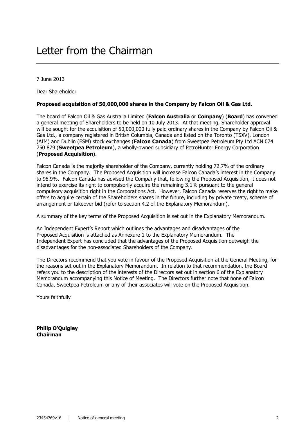7 June 2013

Dear Shareholder

#### **Proposed acquisition of 50,000,000 shares in the Company by Falcon Oil & Gas Ltd.**

The board of Falcon Oil & Gas Australia Limited (**Falcon Australia** or **Company**) (**Board**) has convened a general meeting of Shareholders to be held on 10 July 2013. At that meeting, Shareholder approval will be sought for the acquisition of 50,000,000 fully paid ordinary shares in the Company by Falcon Oil & Gas Ltd., a company registered in British Columbia, Canada and listed on the Toronto (TSXV), London (AIM) and Dublin (ESM) stock exchanges (**Falcon Canada**) from Sweetpea Petroleum Pty Ltd ACN 074 750 879 (**Sweetpea Petroleum**), a wholly-owned subsidiary of PetroHunter Energy Corporation (**Proposed Acquisition**).

Falcon Canada is the majority shareholder of the Company, currently holding 72.7% of the ordinary shares in the Company. The Proposed Acquisition will increase Falcon Canada's interest in the Company to 96.9%. Falcon Canada has advised the Company that, following the Proposed Acquisition, it does not intend to exercise its right to compulsorily acquire the remaining 3.1% pursuant to the general compulsory acquisition right in the Corporations Act. However, Falcon Canada reserves the right to make offers to acquire certain of the Shareholders shares in the future, including by private treaty, scheme of arrangement or takeover bid (refer to section 4.2 of the Explanatory Memorandum).

A summary of the key terms of the Proposed Acquisition is set out in the Explanatory Memorandum.

An Independent Expert's Report which outlines the advantages and disadvantages of the Proposed Acquisition is attached as Annexure 1 to the Explanatory Memorandum. The Independent Expert has concluded that the advantages of the Proposed Acquisition outweigh the disadvantages for the non-associated Shareholders of the Company.

The Directors recommend that you vote in favour of the Proposed Acquisition at the General Meeting, for the reasons set out in the Explanatory Memorandum. In relation to that recommendation, the Board refers you to the description of the interests of the Directors set out in section 6 of the Explanatory Memorandum accompanying this Notice of Meeting. The Directors further note that none of Falcon Canada, Sweetpea Petroleum or any of their associates will vote on the Proposed Acquisition.

Yours faithfully

**Philip O'Quigley Chairman**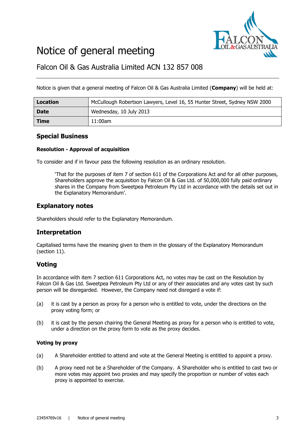

# Notice of general meeting

Falcon Oil & Gas Australia Limited ACN 132 857 008

Notice is given that a general meeting of Falcon Oil & Gas Australia Limited (**Company**) will be held at:

| Location    | McCullough Robertson Lawyers, Level 16, 55 Hunter Street, Sydney NSW 2000 |
|-------------|---------------------------------------------------------------------------|
| <b>Date</b> | Wednesday, 10 July 2013                                                   |
| <b>Time</b> | 11:00am                                                                   |

## **Special Business**

#### **Resolution - Approval of acquisition**

To consider and if in favour pass the following resolution as an ordinary resolution.

'That for the purposes of item 7 of section 611 of the Corporations Act and for all other purposes, Shareholders approve the acquisition by Falcon Oil & Gas Ltd. of 50,000,000 fully paid ordinary shares in the Company from Sweetpea Petroleum Pty Ltd in accordance with the details set out in the Explanatory Memorandum'.

## **Explanatory notes**

Shareholders should refer to the Explanatory Memorandum.

# **Interpretation**

Capitalised terms have the meaning given to them in the glossary of the Explanatory Memorandum (section 11).

## **Voting**

In accordance with item 7 section 611 Corporations Act, no votes may be cast on the Resolution by Falcon Oil & Gas Ltd. Sweetpea Petroleum Pty Ltd or any of their associates and any votes cast by such person will be disregarded. However, the Company need not disregard a vote if:

- (a) it is cast by a person as proxy for a person who is entitled to vote, under the directions on the proxy voting form; or
- (b) it is cast by the person chairing the General Meeting as proxy for a person who is entitled to vote, under a direction on the proxy form to vote as the proxy decides.

#### **Voting by proxy**

- (a) A Shareholder entitled to attend and vote at the General Meeting is entitled to appoint a proxy.
- (b) A proxy need not be a Shareholder of the Company. A Shareholder who is entitled to cast two or more votes may appoint two proxies and may specify the proportion or number of votes each proxy is appointed to exercise.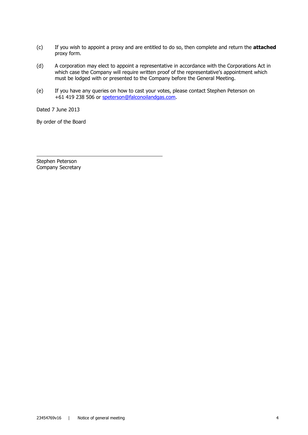- (c) If you wish to appoint a proxy and are entitled to do so, then complete and return the **attached** proxy form.
- (d) A corporation may elect to appoint a representative in accordance with the Corporations Act in which case the Company will require written proof of the representative's appointment which must be lodged with or presented to the Company before the General Meeting.
- (e) If you have any queries on how to cast your votes, please contact Stephen Peterson on +61 419 238 506 or speterson@falconoilandgas.com.

Dated 7 June 2013

By order of the Board

Stephen Peterson Company Secretary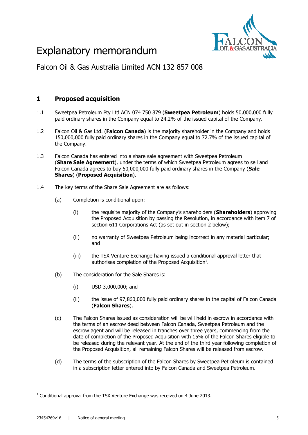

# Explanatory memorandum

Falcon Oil & Gas Australia Limited ACN 132 857 008

# **1 Proposed acquisition**

- 1.1 Sweetpea Petroleum Pty Ltd ACN 074 750 879 (**Sweetpea Petroleum**) holds 50,000,000 fully paid ordinary shares in the Company equal to 24.2% of the issued capital of the Company.
- 1.2 Falcon Oil & Gas Ltd. (**Falcon Canada**) is the majority shareholder in the Company and holds 150,000,000 fully paid ordinary shares in the Company equal to 72.7% of the issued capital of the Company.
- 1.3 Falcon Canada has entered into a share sale agreement with Sweetpea Petroleum (**Share Sale Agreement**), under the terms of which Sweetpea Petroleum agrees to sell and Falcon Canada agrees to buy 50,000,000 fully paid ordinary shares in the Company (**Sale Shares**) (**Proposed Acquisition**).
- 1.4 The key terms of the Share Sale Agreement are as follows:
	- (a) Completion is conditional upon:
		- (i) the requisite majority of the Company's shareholders (**Shareholders**) approving the Proposed Acquisition by passing the Resolution, in accordance with item 7 of section 611 Corporations Act (as set out in section 2 below);
		- (ii) no warranty of Sweetpea Petroleum being incorrect in any material particular; and
		- (iii) the TSX Venture Exchange having issued a conditional approval letter that authorises completion of the Proposed Acquisition<sup>1</sup>.
	- (b) The consideration for the Sale Shares is:
		- (i) USD 3,000,000; and
		- (ii) the issue of 97,860,000 fully paid ordinary shares in the capital of Falcon Canada (**Falcon Shares**).
	- (c) The Falcon Shares issued as consideration will be will held in escrow in accordance with the terms of an escrow deed between Falcon Canada, Sweetpea Petroleum and the escrow agent and will be released in tranches over three years, commencing from the date of completion of the Proposed Acquisition with 15% of the Falcon Shares eligible to be released during the relevant year. At the end of the third year following completion of the Proposed Acquisition, all remaining Falcon Shares will be released from escrow.
	- (d) The terms of the subscription of the Falcon Shares by Sweetpea Petroleum is contained in a subscription letter entered into by Falcon Canada and Sweetpea Petroleum.

<sup>-</sup> $<sup>1</sup>$  Conditional approval from the TSX Venture Exchange was received on 4 June 2013.</sup>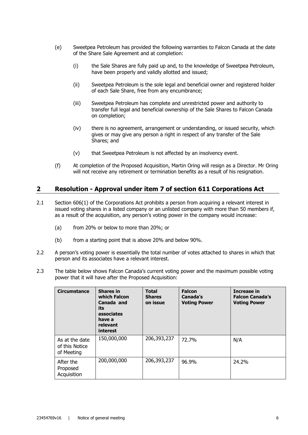- (e) Sweetpea Petroleum has provided the following warranties to Falcon Canada at the date of the Share Sale Agreement and at completion:
	- (i) the Sale Shares are fully paid up and, to the knowledge of Sweetpea Petroleum, have been properly and validly allotted and issued;
	- (ii) Sweetpea Petroleum is the sole legal and beneficial owner and registered holder of each Sale Share, free from any encumbrance;
	- (iii) Sweetpea Petroleum has complete and unrestricted power and authority to transfer full legal and beneficial ownership of the Sale Shares to Falcon Canada on completion;
	- (iv) there is no agreement, arrangement or understanding, or issued security, which gives or may give any person a right in respect of any transfer of the Sale Shares; and
	- (v) that Sweetpea Petroleum is not affected by an insolvency event.
- (f) At completion of the Proposed Acquisition, Martin Oring will resign as a Director. Mr Oring will not receive any retirement or termination benefits as a result of his resignation.

## **2 Resolution - Approval under item 7 of section 611 Corporations Act**

- 2.1 Section 606(1) of the Corporations Act prohibits a person from acquiring a relevant interest in issued voting shares in a listed company or an unlisted company with more than 50 members if, as a result of the acquisition, any person's voting power in the company would increase:
	- (a) from 20% or below to more than 20%; or
	- (b) from a starting point that is above 20% and below 90%.
- 2.2 A person's voting power is essentially the total number of votes attached to shares in which that person and its associates have a relevant interest.
- 2.3 The table below shows Falcon Canada's current voting power and the maximum possible voting power that it will have after the Proposed Acquisition:

| <b>Circumstance</b>                            | <b>Shares in</b><br>which Falcon<br>Canada and<br>its<br>associates<br>have a<br>relevant<br>interest | <b>Total</b><br><b>Shares</b><br>on issue | <b>Falcon</b><br>Canada's<br><b>Voting Power</b> | Increase in<br><b>Falcon Canada's</b><br><b>Voting Power</b> |
|------------------------------------------------|-------------------------------------------------------------------------------------------------------|-------------------------------------------|--------------------------------------------------|--------------------------------------------------------------|
| As at the date<br>of this Notice<br>of Meeting | 150,000,000                                                                                           | 206,393,237                               | 72.7%                                            | N/A                                                          |
| After the<br>Proposed<br>Acquisition           | 200,000,000                                                                                           | 206,393,237                               | 96.9%                                            | 24.2%                                                        |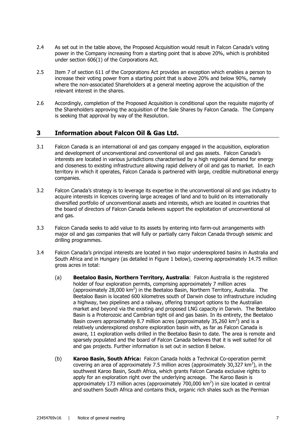- 2.4 As set out in the table above, the Proposed Acquisition would result in Falcon Canada's voting power in the Company increasing from a starting point that is above 20%, which is prohibited under section 606(1) of the Corporations Act.
- 2.5 Item 7 of section 611 of the Corporations Act provides an exception which enables a person to increase their voting power from a starting point that is above 20% and below 90%, namely where the non-associated Shareholders at a general meeting approve the acquisition of the relevant interest in the shares.
- 2.6 Accordingly, completion of the Proposed Acquisition is conditional upon the requisite majority of the Shareholders approving the acquisition of the Sale Shares by Falcon Canada. The Company is seeking that approval by way of the Resolution.

# **3 Information about Falcon Oil & Gas Ltd.**

- 3.1 Falcon Canada is an international oil and gas company engaged in the acquisition, exploration and development of unconventional and conventional oil and gas assets. Falcon Canada's interests are located in various jurisdictions characterised by a high regional demand for energy and closeness to existing infrastructure allowing rapid delivery of oil and gas to market. In each territory in which it operates, Falcon Canada is partnered with large, credible multinational energy companies.
- 3.2 Falcon Canada's strategy is to leverage its expertise in the unconventional oil and gas industry to acquire interests in licences covering large acreages of land and to build on its internationally diversified portfolio of unconventional assets and interests, which are located in countries that the board of directors of Falcon Canada believes support the exploitation of unconventional oil and gas.
- 3.3 Falcon Canada seeks to add value to its assets by entering into farm-out arrangements with major oil and gas companies that will fully or partially carry Falcon Canada through seismic and drilling programmes.
- 3.4 Falcon Canada's principal interests are located in two major underexplored basins in Australia and South Africa and in Hungary (as detailed in Figure 1 below), covering approximately 14.75 million gross acres in total:
	- (a) **Beetaloo Basin, Northern Territory, Australia**: Falcon Australia is the registered holder of four exploration permits, comprising approximately 7 million acres (approximately 28,000 km<sup>2</sup>) in the Beetaloo Basin, Northern Territory, Australia. The Beetaloo Basin is located 600 kilometres south of Darwin close to infrastructure including a highway, two pipelines and a railway, offering transport options to the Australian market and beyond via the existing and proposed LNG capacity in Darwin. The Beetaloo Basin is a Proterozoic and Cambrian tight oil and gas basin. In its entirety, the Beetaloo Basin covers approximately 8.7 million acres (approximately 35,260  $km^2$ ) and is a relatively underexplored onshore exploration basin with, as far as Falcon Canada is aware, 11 exploration wells drilled in the Beetaloo Basin to date. The area is remote and sparsely populated and the board of Falcon Canada believes that it is well suited for oil and gas projects. Further information is set out in section 8 below.
	- (b) **Karoo Basin, South Africa:** Falcon Canada holds a Technical Co-operation permit covering an area of approximately 7.5 million acres (approximately 30,327  $km^2$ ), in the southwest Karoo Basin, South Africa, which grants Falcon Canada exclusive rights to apply for an exploration right over the underlying acreage. The Karoo Basin is approximately 173 million acres (approximately 700,000  $km^2$ ) in size located in central and southern South Africa and contains thick, organic rich shales such as the Permian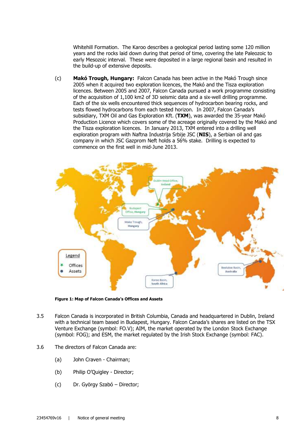Whitehill Formation. The Karoo describes a geological period lasting some 120 million years and the rocks laid down during that period of time, covering the late Paleozoic to early Mesozoic interval. These were deposited in a large regional basin and resulted in the build-up of extensive deposits.

(c) **Makó Trough, Hungary:** Falcon Canada has been active in the Makó Trough since 2005 when it acquired two exploration licences, the Makó and the Tisza exploration licences. Between 2005 and 2007, Falcon Canada pursued a work programme consisting of the acquisition of 1,100 km2 of 3D seismic data and a six-well drilling programme. Each of the six wells encountered thick sequences of hydrocarbon bearing rocks, and tests flowed hydrocarbons from each tested horizon. In 2007, Falcon Canada's subsidiary, TXM Oil and Gas Exploration Kft. (**TXM**), was awarded the 35-year Makó Production Licence which covers some of the acreage originally covered by the Makó and the Tisza exploration licences. In January 2013, TXM entered into a drilling well exploration program with Naftna Industrija Srbije JSC (**NIS**), a Serbian oil and gas company in which JSC Gazprom Neft holds a 56% stake. Drilling is expected to commence on the first well in mid-June 2013.



**Figure 1: Map of Falcon Canada's Offices and Assets**

- 3.5 Falcon Canada is incorporated in British Columbia, Canada and headquartered in Dublin, Ireland with a technical team based in Budapest, Hungary. Falcon Canada's shares are listed on the TSX Venture Exchange (symbol: FO.V); AIM, the market operated by the London Stock Exchange (symbol: FOG); and ESM, the market regulated by the Irish Stock Exchange (symbol: FAC).
- 3.6 The directors of Falcon Canada are:
	- (a) John Craven Chairman;
	- (b) Philip O'Quigley Director;
	- (c) Dr. György Szabó Director;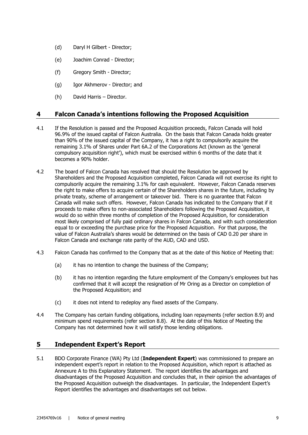- (d) Daryl H Gilbert Director;
- (e) Joachim Conrad Director;
- (f) Gregory Smith Director;
- (g) Igor Akhmerov Director; and
- (h) David Harris Director.

## **4 Falcon Canada's intentions following the Proposed Acquisition**

- 4.1 If the Resolution is passed and the Proposed Acquisition proceeds, Falcon Canada will hold 96.9% of the issued capital of Falcon Australia. On the basis that Falcon Canada holds greater than 90% of the issued capital of the Company, it has a right to compulsorily acquire the remaining 3.1% of Shares under Part 6A.2 of the Corporations Act (known as the 'general compulsory acquisition right'), which must be exercised within 6 months of the date that it becomes a 90% holder.
- 4.2 The board of Falcon Canada has resolved that should the Resolution be approved by Shareholders and the Proposed Acquisition completed, Falcon Canada will not exercise its right to compulsorily acquire the remaining 3.1% for cash equivalent. However, Falcon Canada reserves the right to make offers to acquire certain of the Shareholders shares in the future, including by private treaty, scheme of arrangement or takeover bid. There is no guarantee that Falcon Canada will make such offers. However, Falcon Canada has indicated to the Company that if it proceeds to make offers to non-associated Shareholders following the Proposed Acquisition, it would do so within three months of completion of the Proposed Acquisition, for consideration most likely comprised of fully paid ordinary shares in Falcon Canada, and with such consideration equal to or exceeding the purchase price for the Proposed Acquisition. For that purpose, the value of Falcon Australia's shares would be determined on the basis of CAD 0.20 per share in Falcon Canada and exchange rate parity of the AUD, CAD and USD.
- 4.3 Falcon Canada has confirmed to the Company that as at the date of this Notice of Meeting that:
	- (a) it has no intention to change the business of the Company;
	- (b) it has no intention regarding the future employment of the Company's employees but has confirmed that it will accept the resignation of Mr Oring as a Director on completion of the Proposed Acquisition; and
	- (c) it does not intend to redeploy any fixed assets of the Company.
- 4.4 The Company has certain funding obligations, including loan repayments (refer section 8.9) and minimum spend requirements (refer section 8.8). At the date of this Notice of Meeting the Company has not determined how it will satisfy those lending obligations.

#### **5 Independent Expert's Report**

5.1 BDO Corporate Finance (WA) Pty Ltd (**Independent Expert**) was commissioned to prepare an independent expert's report in relation to the Proposed Acquisition, which report is attached as Annexure A to this Explanatory Statement. The report identifies the advantages and disadvantages of the Proposed Acquisition and concludes that, in their opinion the advantages of the Proposed Acquisition outweigh the disadvantages. In particular, the Independent Expert's Report identifies the advantages and disadvantages set out below.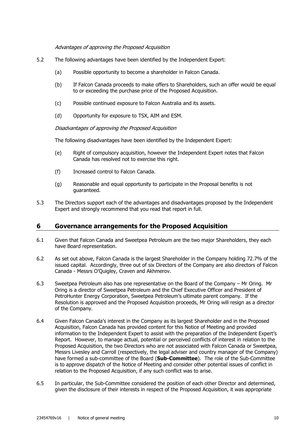#### Advantages of approving the Proposed Acquisition

- 5.2 The following advantages have been identified by the Independent Expert:
	- (a) Possible opportunity to become a shareholder in Falcon Canada.
	- (b) If Falcon Canada proceeds to make offers to Shareholders, such an offer would be equal to or exceeding the purchase price of the Proposed Acquisition.
	- (c) Possible continued exposure to Falcon Australia and its assets.
	- (d) Opportunity for exposure to TSX, AIM and ESM.

Disadvantages of approving the Proposed Acquisition

The following disadvantages have been identified by the Independent Expert:

- (e) Right of compulsory acquisition, however the Independent Expert notes that Falcon Canada has resolved not to exercise this right.
- (f) Increased control to Falcon Canada.
- (g) Reasonable and equal opportunity to participate in the Proposal benefits is not guaranteed.
- 5.3 The Directors support each of the advantages and disadvantages proposed by the Independent Expert and strongly recommend that you read that report in full.

#### **6 Governance arrangements for the Proposed Acquisition**

- 6.1 Given that Falcon Canada and Sweetpea Petroleum are the two major Shareholders, they each have Board representation.
- 6.2 As set out above, Falcon Canada is the largest Shareholder in the Company holding 72.7% of the issued capital. Accordingly, three out of six Directors of the Company are also directors of Falcon Canada - Messrs O'Quigley, Craven and Akhmerov.
- 6.3 Sweetpea Petroleum also has one representative on the Board of the Company Mr Oring. Mr Oring is a director of Sweetpea Petroleum and the Chief Executive Officer and President of PetroHunter Energy Corporation, Sweetpea Petroleum's ultimate parent company. If the Resolution is approved and the Proposed Acquisition proceeds, Mr Oring will resign as a director of the Company.
- 6.4 Given Falcon Canada's interest in the Company as its largest Shareholder and in the Proposed Acquisition, Falcon Canada has provided content for this Notice of Meeting and provided information to the Independent Expert to assist with the preparation of the Independent Expert's Report. However, to manage actual, potential or perceived conflicts of interest in relation to the Proposed Acquisition, the two Directors who are not associated with Falcon Canada or Sweetpea, Messrs Livesley and Carroll (respectively, the legal adviser and country manager of the Company) have formed a sub-committee of the Board (**Sub-Committee**). The role of the Sub-Committee is to approve dispatch of the Notice of Meeting and consider other potential issues of conflict in relation to the Proposed Acquisition, if any such conflict was to arise.
- 6.5 In particular, the Sub-Committee considered the position of each other Director and determined, given the disclosure of their interests in respect of the Proposed Acquisition, it was appropriate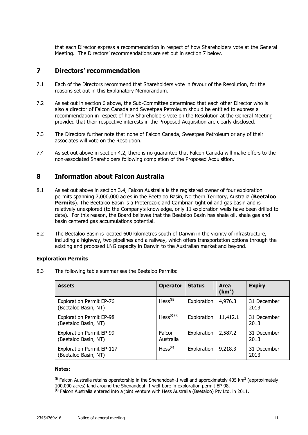that each Director express a recommendation in respect of how Shareholders vote at the General Meeting. The Directors' recommendations are set out in section 7 below.

## **7 Directors' recommendation**

- 7.1 Each of the Directors recommend that Shareholders vote in favour of the Resolution, for the reasons set out in this Explanatory Memorandum.
- 7.2 As set out in section 6 above, the Sub-Committee determined that each other Director who is also a director of Falcon Canada and Sweetpea Petroleum should be entitled to express a recommendation in respect of how Shareholders vote on the Resolution at the General Meeting provided that their respective interests in the Proposed Acquisition are clearly disclosed.
- 7.3 The Directors further note that none of Falcon Canada, Sweetpea Petroleum or any of their associates will vote on the Resolution.
- 7.4 As set out above in section 4.2, there is no guarantee that Falcon Canada will make offers to the non-associated Shareholders following completion of the Proposed Acquisition.

#### **8 Information about Falcon Australia**

- 8.1 As set out above in section 3.4, Falcon Australia is the registered owner of four exploration permits spanning 7,000,000 acres in the Beetaloo Basin, Northern Territory, Australia (**Beetaloo Permits**). The Beetaloo Basin is a Proterozoic and Cambrian tight oil and gas basin and is relatively unexplored (to the Company's knowledge, only 11 exploration wells have been drilled to date). For this reason, the Board believes that the Beetaloo Basin has shale oil, shale gas and basin centered gas accumulations potential.
- 8.2 The Beetaloo Basin is located 600 kilometres south of Darwin in the vicinity of infrastructure, including a highway, two pipelines and a railway, which offers transportation options through the existing and proposed LNG capacity in Darwin to the Australian market and beyond.

#### **Exploration Permits**

8.3 The following table summarises the Beetaloo Permits:

| <b>Assets</b>                                            | <b>Operator</b>          | <b>Status</b> | <b>Area</b><br>(km <sup>2</sup> ) | <b>Expiry</b>       |
|----------------------------------------------------------|--------------------------|---------------|-----------------------------------|---------------------|
| <b>Exploration Permit EP-76</b><br>(Beetaloo Basin, NT)  | Hess <sup>(ii)</sup>     | Exploration   | 4,976.3                           | 31 December<br>2013 |
| <b>Exploration Permit EP-98</b><br>(Beetaloo Basin, NT)  | Hess <sup>(i) (ii)</sup> | Exploration   | 11,412.1                          | 31 December<br>2013 |
| <b>Exploration Permit EP-99</b><br>(Beetaloo Basin, NT)  | Falcon<br>Australia      | Exploration   | 2,587.2                           | 31 December<br>2013 |
| <b>Exploration Permit EP-117</b><br>(Beetaloo Basin, NT) | Hess <sup>(ii)</sup>     | Exploration   | 9,218.3                           | 31 December<br>2013 |

#### **Notes:**

<sup>(i)</sup> Falcon Australia retains operatorship in the Shenandoah-1 well and approximately 405 km<sup>2</sup> (approximately 100,000 acres) land around the Shenandoah-1 well-bore in exploration permit EP-98.

 $^{(ii)}$  Falcon Australia entered into a joint venture with Hess Australia (Beetaloo) Pty Ltd. in 2011.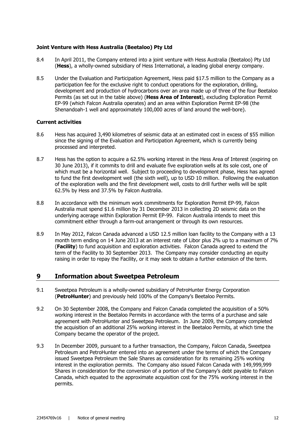#### **Joint Venture with Hess Australia (Beetaloo) Pty Ltd**

- 8.4 In April 2011, the Company entered into a joint venture with Hess Australia (Beetaloo) Pty Ltd (**Hess**), a wholly-owned subsidiary of Hess International, a leading global energy company.
- 8.5 Under the Evaluation and Participation Agreement, Hess paid \$17.5 million to the Company as a participation fee for the exclusive right to conduct operations for the exploration, drilling, development and production of hydrocarbons over an area made up of three of the four Beetaloo Permits (as set out in the table above) (**Hess Area of Interest**), excluding Exploration Permit EP-99 (which Falcon Australia operates) and an area within Exploration Permit EP-98 (the Shenandoah-1 well and approximately 100,000 acres of land around the well-bore).

#### **Current activities**

- 8.6 Hess has acquired 3,490 kilometres of seismic data at an estimated cost in excess of \$55 million since the signing of the Evaluation and Participation Agreement, which is currently being processed and interpreted.
- 8.7 Hess has the option to acquire a 62.5% working interest in the Hess Area of Interest (expiring on 30 June 2013), if it commits to drill and evaluate five exploration wells at its sole cost, one of which must be a horizontal well. Subject to proceeding to development phase, Hess has agreed to fund the first development well (the sixth well), up to USD 10 million. Following the evaluation of the exploration wells and the first development well, costs to drill further wells will be split 62.5% by Hess and 37.5% by Falcon Australia.
- 8.8 In accordance with the minimum work commitments for Exploration Permit EP-99, Falcon Australia must spend \$1.6 million by 31 December 2013 in collecting 2D seismic data on the underlying acerage within Exploration Permit EP-99. Falcon Australia intends to meet this commitment either through a farm-out arrangement or through its own resources.
- 8.9 In May 2012, Falcon Canada advanced a USD 12.5 million loan facility to the Company with a 13 month term ending on 14 June 2013 at an interest rate of Libor plus 2% up to a maximum of 7% (**Facility**) to fund acquisition and exploration activities. Falcon Canada agreed to extend the term of the Facility to 30 September 2013. The Company may consider conducting an equity raising in order to repay the Facility, or it may seek to obtain a further extension of the term.

## **9 Information about Sweetpea Petroleum**

- 9.1 Sweetpea Petroleum is a wholly-owned subsidiary of PetroHunter Energy Corporation (**PetroHunter**) and previously held 100% of the Company's Beetaloo Permits.
- 9.2 On 30 September 2008, the Company and Falcon Canada completed the acquisition of a 50% working interest in the Beetaloo Permits in accordance with the terms of a purchase and sale agreement with PetroHunter and Sweetpea Petroleum. In June 2009, the Company completed the acquisition of an additional 25% working interest in the Beetaloo Permits, at which time the Company became the operator of the project.
- 9.3 In December 2009, pursuant to a further transaction, the Company, Falcon Canada, Sweetpea Petroleum and PetroHunter entered into an agreement under the terms of which the Company issued Sweetpea Petroleum the Sale Shares as consideration for its remaining 25% working interest in the exploration permits. The Company also issued Falcon Canada with 149,999,999 Shares in consideration for the conversion of a portion of the Company's debt payable to Falcon Canada, which equated to the approximate acquisition cost for the 75% working interest in the permits.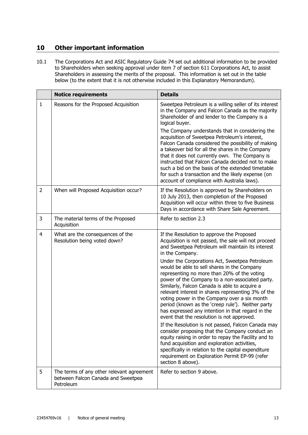# **10 Other important information**

10.1 The Corporations Act and ASIC Regulatory Guide 74 set out additional information to be provided to Shareholders when seeking approval under item 7 of section 611 Corporations Act, to assist Shareholders in assessing the merits of the proposal. This information is set out in the table below (to the extent that it is not otherwise included in this Explanatory Memorandum).

|                | <b>Notice requirements</b>                                                                   | <b>Details</b>                                                                                                                                                                                                                                                                                                                                                                                                                                                                                                                                                                                                                                                                                                                                                                                                                                                                                                                                                                                                                            |
|----------------|----------------------------------------------------------------------------------------------|-------------------------------------------------------------------------------------------------------------------------------------------------------------------------------------------------------------------------------------------------------------------------------------------------------------------------------------------------------------------------------------------------------------------------------------------------------------------------------------------------------------------------------------------------------------------------------------------------------------------------------------------------------------------------------------------------------------------------------------------------------------------------------------------------------------------------------------------------------------------------------------------------------------------------------------------------------------------------------------------------------------------------------------------|
| 1              | Reasons for the Proposed Acquisition                                                         | Sweetpea Petroleum is a willing seller of its interest<br>in the Company and Falcon Canada as the majority<br>Shareholder of and lender to the Company is a<br>logical buyer.                                                                                                                                                                                                                                                                                                                                                                                                                                                                                                                                                                                                                                                                                                                                                                                                                                                             |
|                |                                                                                              | The Company understands that in considering the<br>acquisition of Sweetpea Petroleum's interest,<br>Falcon Canada considered the possibility of making<br>a takeover bid for all the shares in the Company<br>that it does not currently own. The Company is<br>instructed that Falcon Canada decided not to make<br>such a bid on the basis of the extended timetable<br>for such a transaction and the likely expense (on<br>account of compliance with Australia laws).                                                                                                                                                                                                                                                                                                                                                                                                                                                                                                                                                                |
| $\overline{2}$ | When will Proposed Acquisition occur?                                                        | If the Resolution is approved by Shareholders on<br>10 July 2013, then completion of the Proposed<br>Acquisition will occur within three to five Business<br>Days in accordance with Share Sale Agreement.                                                                                                                                                                                                                                                                                                                                                                                                                                                                                                                                                                                                                                                                                                                                                                                                                                |
| 3              | The material terms of the Proposed<br>Acquisition                                            | Refer to section 2.3                                                                                                                                                                                                                                                                                                                                                                                                                                                                                                                                                                                                                                                                                                                                                                                                                                                                                                                                                                                                                      |
| $\overline{4}$ | What are the consequences of the<br>Resolution being voted down?                             | If the Resolution to approve the Proposed<br>Acquisition is not passed, the sale will not proceed<br>and Sweetpea Petroleum will maintain its interest<br>in the Company.<br>Under the Corporations Act, Sweetpea Petroleum<br>would be able to sell shares in the Company<br>representing no more than 20% of the voting<br>power of the Company to a non-associated party.<br>Similarly, Falcon Canada is able to acquire a<br>relevant interest in shares representing 3% of the<br>voting power in the Company over a six month<br>period (known as the 'creep rule'). Neither party<br>has expressed any intention in that regard in the<br>event that the resolution is not approved.<br>If the Resolution is not passed, Falcon Canada may<br>consider proposing that the Company conduct an<br>equity raising in order to repay the Facility and to<br>fund acquisition and exploration activities,<br>specifically in relation to the capital expenditure<br>requirement on Exploration Permit EP-99 (refer<br>section 8 above). |
| 5              | The terms of any other relevant agreement<br>between Falcon Canada and Sweetpea<br>Petroleum | Refer to section 9 above.                                                                                                                                                                                                                                                                                                                                                                                                                                                                                                                                                                                                                                                                                                                                                                                                                                                                                                                                                                                                                 |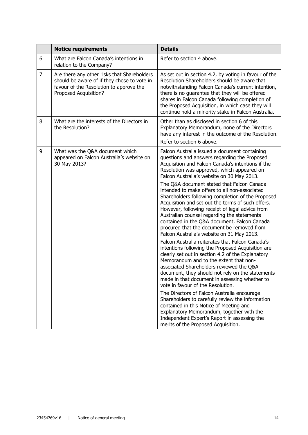|                | <b>Notice requirements</b>                                                                                                                                     | <b>Details</b>                                                                                                                                                                                                                                                                                                                                                                                                                                                                                                                                                                                                                                                                                                                                                                                                                                                                                                                                                                                                                                                                                                                                                                                                                                                                                                                                                                        |
|----------------|----------------------------------------------------------------------------------------------------------------------------------------------------------------|---------------------------------------------------------------------------------------------------------------------------------------------------------------------------------------------------------------------------------------------------------------------------------------------------------------------------------------------------------------------------------------------------------------------------------------------------------------------------------------------------------------------------------------------------------------------------------------------------------------------------------------------------------------------------------------------------------------------------------------------------------------------------------------------------------------------------------------------------------------------------------------------------------------------------------------------------------------------------------------------------------------------------------------------------------------------------------------------------------------------------------------------------------------------------------------------------------------------------------------------------------------------------------------------------------------------------------------------------------------------------------------|
| 6              | What are Falcon Canada's intentions in<br>relation to the Company?                                                                                             | Refer to section 4 above.                                                                                                                                                                                                                                                                                                                                                                                                                                                                                                                                                                                                                                                                                                                                                                                                                                                                                                                                                                                                                                                                                                                                                                                                                                                                                                                                                             |
| $\overline{7}$ | Are there any other risks that Shareholders<br>should be aware of if they chose to vote in<br>favour of the Resolution to approve the<br>Proposed Acquisition? | As set out in section 4.2, by voting in favour of the<br>Resolution Shareholders should be aware that<br>notwithstanding Falcon Canada's current intention,<br>there is no guarantee that they will be offered<br>shares in Falcon Canada following completion of<br>the Proposed Acquisition, in which case they will<br>continue hold a minority stake in Falcon Australia.                                                                                                                                                                                                                                                                                                                                                                                                                                                                                                                                                                                                                                                                                                                                                                                                                                                                                                                                                                                                         |
| 8              | What are the interests of the Directors in<br>the Resolution?                                                                                                  | Other than as disclosed in section 6 of this<br>Explanatory Memorandum, none of the Directors<br>have any interest in the outcome of the Resolution.<br>Refer to section 6 above.                                                                                                                                                                                                                                                                                                                                                                                                                                                                                                                                                                                                                                                                                                                                                                                                                                                                                                                                                                                                                                                                                                                                                                                                     |
| 9              | What was the Q&A document which<br>appeared on Falcon Australia's website on<br>30 May 2013?                                                                   | Falcon Australia issued a document containing<br>questions and answers regarding the Proposed<br>Acquisition and Falcon Canada's intentions if the<br>Resolution was approved, which appeared on<br>Falcon Australia's website on 30 May 2013.<br>The Q&A document stated that Falcon Canada<br>intended to make offers to all non-associated<br>Shareholders following completion of the Proposed<br>Acquisition and set out the terms of such offers.<br>However, following receipt of legal advice from<br>Australian counsel regarding the statements<br>contained in the Q&A document, Falcon Canada<br>procured that the document be removed from<br>Falcon Australia's website on 31 May 2013.<br>Falcon Australia reiterates that Falcon Canada's<br>intentions following the Proposed Acquisition are<br>clearly set out in section 4.2 of the Explanatory<br>Memorandum and to the extent that non-<br>associated Shareholders reviewed the Q&A<br>document, they should not rely on the statements<br>made in that document in assessing whether to<br>vote in favour of the Resolution.<br>The Directors of Falcon Australia encourage<br>Shareholders to carefully review the information<br>contained in this Notice of Meeting and<br>Explanatory Memorandum, together with the<br>Independent Expert's Report in assessing the<br>merits of the Proposed Acquisition. |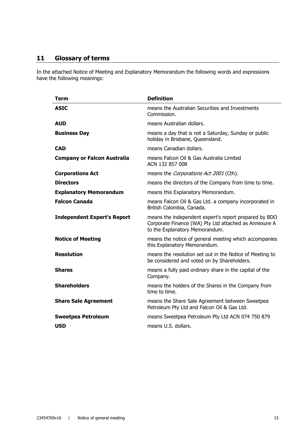# **11 Glossary of terms**

In the attached Notice of Meeting and Explanatory Memorandum the following words and expressions have the following meanings:

| <b>Term</b>                        | <b>Definition</b>                                                                                                                                |
|------------------------------------|--------------------------------------------------------------------------------------------------------------------------------------------------|
| <b>ASIC</b>                        | means the Australian Securities and Investments<br>Commission.                                                                                   |
| <b>AUD</b>                         | means Australian dollars.                                                                                                                        |
| <b>Business Day</b>                | means a day that is not a Saturday, Sunday or public<br>holiday in Brisbane, Queensland.                                                         |
| <b>CAD</b>                         | means Canadian dollars.                                                                                                                          |
| <b>Company or Falcon Australia</b> | means Falcon Oil & Gas Australia Limited<br>ACN 132 857 008                                                                                      |
| <b>Corporations Act</b>            | means the Corporations Act 2001 (Cth).                                                                                                           |
| <b>Directors</b>                   | means the directors of the Company from time to time.                                                                                            |
| <b>Explanatory Memorandum</b>      | means this Explanatory Memorandum.                                                                                                               |
| <b>Falcon Canada</b>               | means Falcon Oil & Gas Ltd. a company incorporated in<br>British Colombia, Canada.                                                               |
| <b>Independent Expert's Report</b> | means the independent expert's report prepared by BDO<br>Corporate Finance (WA) Pty Ltd attached as Annexure A<br>to the Explanatory Memorandum. |
| <b>Notice of Meeting</b>           | means the notice of general meeting which accompanies<br>this Explanatory Memorandum.                                                            |
| <b>Resolution</b>                  | means the resolution set out in the Notice of Meeting to<br>be considered and voted on by Shareholders.                                          |
| <b>Shares</b>                      | means a fully paid ordinary share in the capital of the<br>Company.                                                                              |
| <b>Shareholders</b>                | means the holders of the Shares in the Company from<br>time to time.                                                                             |
| <b>Share Sale Agreement</b>        | means the Share Sale Agreement between Sweetpea<br>Petroleum Pty Ltd and Falcon Oil & Gas Ltd.                                                   |
| <b>Sweetpea Petroleum</b>          | means Sweetpea Petroleum Pty Ltd ACN 074 750 879                                                                                                 |
| <b>USD</b>                         | means U.S. dollars.                                                                                                                              |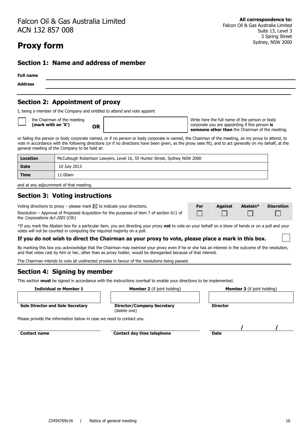# Falcon Oil & Gas Australia Limited ACN 132 857 008

# **Proxy form**

#### **Section 1: Name and address of member**

# **Full name Address**

# **Section 2: Appointment of proxy**

I, being a member of the Company and entitled to attend and vote appoint

the Chairman of the meeting **(mark with an 'X') OR** 

Write here the full name of the person or body corporate you are appointing if this person **is someone other than** the Chairman of the meeting.

or failing the person or body corporate named, or if no person or body corporate is named, the Chairman of the meeting, as my proxy to attend, to vote in accordance with the following directions (or if no directions have been given, as the proxy sees fit), and to act generally on my behalf, at the general meeting of the Company to be held at:

| Location    | McCullough Robertson Lawyers, Level 16, 55 Hunter Street, Sydney NSW 2000 |
|-------------|---------------------------------------------------------------------------|
| <b>Date</b> | 10 July 2013                                                              |
| <b>Time</b> | 11:00am                                                                   |

and at any adjournment of that meeting.

## **Section 3: Voting instructions**

Voting directions to proxy − please mark ⊠ to indicate your directions. **For Against Abstain\* Discretion** 

Resolution – Approval of Proposed Acquisition for the purposes of item 7 of section 611 of the Corporations Act 2001 (Cth)

\*If you mark the Abstain box for a particular item, you are directing your proxy **not** to vote on your behalf on a show of hands or on a poll and your votes will not be counted in computing the required majority on a poll.

#### **If you do not wish to direct the Chairman as your proxy to vote, please place a mark in this box.**

By marking this box you acknowledge that the Chairman may exercise your proxy even if he or she has an interest in the outcome of the resolution, and that votes cast by him or her, other than as proxy holder, would be disregarded because of that interest.

The Chairman intends to vote all undirected proxies in favour of the resolutions being passed.

# **Section 4: Signing by member**

This section **must** be signed in accordance with the instructions overleaf to enable your directions to be implemented.

**Individual or Member 1 Member 2** (if joint holding) **Member 3** (if joint holding)

| <b>Member 3</b> (if joint holding) |
|------------------------------------|
|                                    |
|                                    |

 $\Box$ 

 $\Box$ 

**Sole Director and Sole Secretary Director/Company Secretary**

(delete one)

Please provide the information below in case we need to contact you.

**Contact name between the contact day time telephone between**  $\overline{\phantom{a}}$  **Date** 

**/ /**

**Director**

П

 $\Box$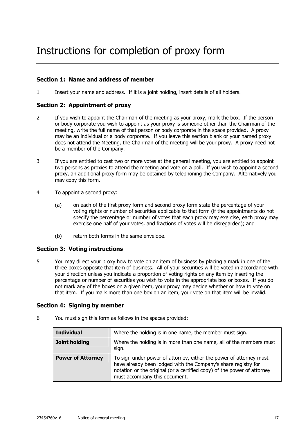### **Section 1: Name and address of member**

1 Insert your name and address. If it is a joint holding, insert details of all holders.

## **Section 2: Appointment of proxy**

- 2 If you wish to appoint the Chairman of the meeting as your proxy, mark the box. If the person or body corporate you wish to appoint as your proxy is someone other than the Chairman of the meeting, write the full name of that person or body corporate in the space provided. A proxy may be an individual or a body corporate. If you leave this section blank or your named proxy does not attend the Meeting, the Chairman of the meeting will be your proxy. A proxy need not be a member of the Company.
- 3 If you are entitled to cast two or more votes at the general meeting, you are entitled to appoint two persons as proxies to attend the meeting and vote on a poll. If you wish to appoint a second proxy, an additional proxy form may be obtained by telephoning the Company. Alternatively you may copy this form.
- 4 To appoint a second proxy:
	- (a) on each of the first proxy form and second proxy form state the percentage of your voting rights or number of securities applicable to that form (if the appointments do not specify the percentage or number of votes that each proxy may exercise, each proxy may exercise one half of your votes, and fractions of votes will be disregarded); and
	- (b) return both forms in the same envelope.

#### **Section 3: Voting instructions**

5 You may direct your proxy how to vote on an item of business by placing a mark in one of the three boxes opposite that item of business. All of your securities will be voted in accordance with your direction unless you indicate a proportion of voting rights on any item by inserting the percentage or number of securities you wish to vote in the appropriate box or boxes. If you do not mark any of the boxes on a given item, your proxy may decide whether or how to vote on that item. If you mark more than one box on an item, your vote on that item will be invalid.

#### **Section 4: Signing by member**

| <b>Individual</b>        | Where the holding is in one name, the member must sign.                                                                                                                                                                                          |
|--------------------------|--------------------------------------------------------------------------------------------------------------------------------------------------------------------------------------------------------------------------------------------------|
| Joint holding            | Where the holding is in more than one name, all of the members must<br>sign.                                                                                                                                                                     |
| <b>Power of Attorney</b> | To sign under power of attorney, either the power of attorney must<br>have already been lodged with the Company's share registry for<br>notation or the original (or a certified copy) of the power of attorney<br>must accompany this document. |

6 You must sign this form as follows in the spaces provided: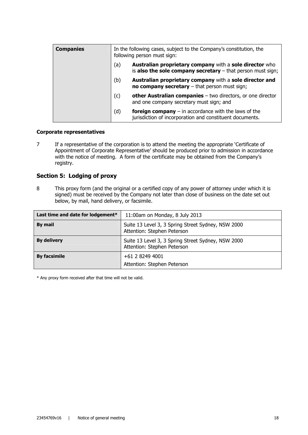| <b>Companies</b> | In the following cases, subject to the Company's constitution, the<br>following person must sign: |                                                                                                                                 |
|------------------|---------------------------------------------------------------------------------------------------|---------------------------------------------------------------------------------------------------------------------------------|
|                  | (a)                                                                                               | <b>Australian proprietary company</b> with a sole director who<br>is also the sole company secretary $-$ that person must sign; |
|                  | (b)                                                                                               | Australian proprietary company with a sole director and<br>no company secretary $-$ that person must sign;                      |
|                  | (c)                                                                                               | other Australian companies $-$ two directors, or one director<br>and one company secretary must sign; and                       |
|                  | (d)                                                                                               | <b>foreign company</b> $-$ in accordance with the laws of the<br>jurisdiction of incorporation and constituent documents.       |

#### **Corporate representatives**

7 If a representative of the corporation is to attend the meeting the appropriate 'Certificate of Appointment of Corporate Representative' should be produced prior to admission in accordance with the notice of meeting. A form of the certificate may be obtained from the Company's registry.

## **Section 5: Lodging of proxy**

8 This proxy form (and the original or a certified copy of any power of attorney under which it is signed) must be received by the Company not later than close of business on the date set out below, by mail, hand delivery, or facsimile.

| Last time and date for lodgement* | 11:00am on Monday, 8 July 2013                                                    |
|-----------------------------------|-----------------------------------------------------------------------------------|
| By mail                           | Suite 13 Level 3, 3 Spring Street Sydney, NSW 2000<br>Attention: Stephen Peterson |
| <b>By delivery</b>                | Suite 13 Level 3, 3 Spring Street Sydney, NSW 2000<br>Attention: Stephen Peterson |
| <b>By facsimile</b>               | +61 2 8249 4001<br>Attention: Stephen Peterson                                    |

\* Any proxy form received after that time will not be valid.